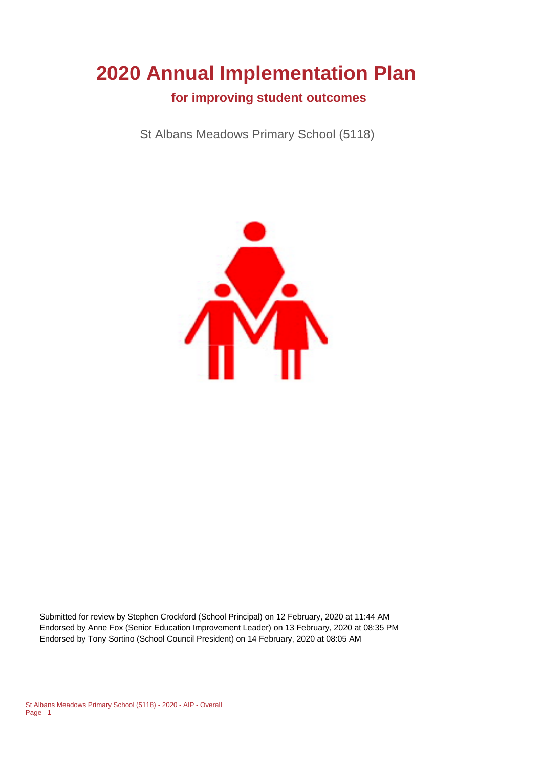# **2020 Annual Implementation Plan**

 **for improving student outcomes**

St Albans Meadows Primary School (5118)



Submitted for review by Stephen Crockford (School Principal) on 12 February, 2020 at 11:44 AM Endorsed by Anne Fox (Senior Education Improvement Leader) on 13 February, 2020 at 08:35 PM Endorsed by Tony Sortino (School Council President) on 14 February, 2020 at 08:05 AM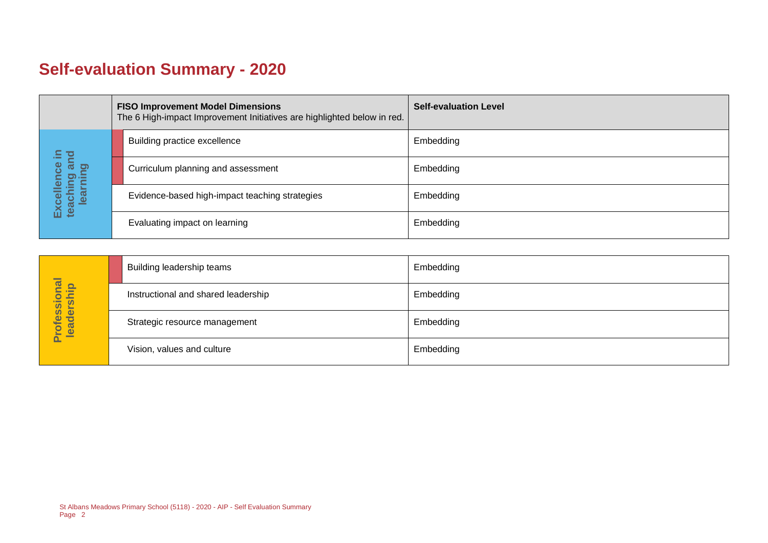## **Self-evaluation Summary - 2020**

|                                                                                                           | <b>FISO Improvement Model Dimensions</b><br>The 6 High-impact Improvement Initiatives are highlighted below in red. | <b>Self-evaluation Level</b> |
|-----------------------------------------------------------------------------------------------------------|---------------------------------------------------------------------------------------------------------------------|------------------------------|
| $\Xi$ $\Xi$<br>ಕ<br>$\ddot{\mathbf{0}}$<br>ing ai<br>Ining<br>Excel<br>teach<br>$\tilde{\mathbf{\Theta}}$ | Building practice excellence                                                                                        | Embedding                    |
|                                                                                                           | Curriculum planning and assessment                                                                                  | Embedding                    |
|                                                                                                           | Evidence-based high-impact teaching strategies                                                                      | Embedding                    |
|                                                                                                           | Evaluating impact on learning                                                                                       | Embedding                    |

| Professional<br>leadership | Building leadership teams           | Embedding |
|----------------------------|-------------------------------------|-----------|
|                            | Instructional and shared leadership | Embedding |
|                            | Strategic resource management       | Embedding |
|                            | Vision, values and culture          | Embedding |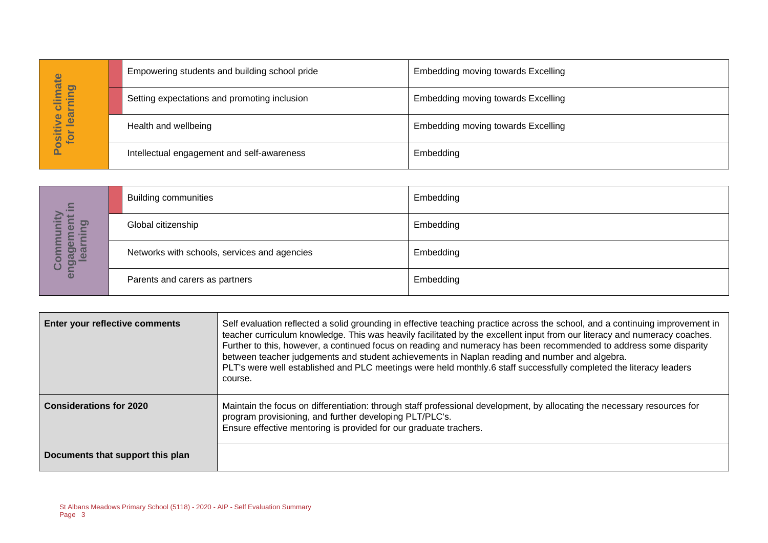| imate<br><b>p</b><br>≒<br>⋟<br>晨<br>$\bullet$<br><u>səl</u><br>ositiv<br>for | Empowering students and building school pride | Embedding moving towards Excelling |
|------------------------------------------------------------------------------|-----------------------------------------------|------------------------------------|
|                                                                              | Setting expectations and promoting inclusion  | Embedding moving towards Excelling |
|                                                                              | Health and wellbeing                          | Embedding moving towards Excelling |
|                                                                              | Intellectual engagement and self-awareness    | Embedding                          |

| 르.<br>≏<br>岩<br>$\sigma$<br>⋍<br>Ф<br><b>eme</b><br>Irnin<br>ngag<br>lea<br>$\overline{c}$<br>$\bullet$ | <b>Building communities</b>                  | Embedding |
|---------------------------------------------------------------------------------------------------------|----------------------------------------------|-----------|
|                                                                                                         | Global citizenship                           | Embedding |
|                                                                                                         | Networks with schools, services and agencies | Embedding |
|                                                                                                         | Parents and carers as partners               | Embedding |

|                                  | Empowering students and building school pride                                  |                                                                                                                                                                                                                                                          | Empedding moving towards Excelling                                                                                                                                                                                                                                                                                                                                                                                                                                                                                                                                                                      |
|----------------------------------|--------------------------------------------------------------------------------|----------------------------------------------------------------------------------------------------------------------------------------------------------------------------------------------------------------------------------------------------------|---------------------------------------------------------------------------------------------------------------------------------------------------------------------------------------------------------------------------------------------------------------------------------------------------------------------------------------------------------------------------------------------------------------------------------------------------------------------------------------------------------------------------------------------------------------------------------------------------------|
| Positive climate<br>for learning |                                                                                | Setting expectations and promoting inclusion                                                                                                                                                                                                             | Embedding moving towards Excelling                                                                                                                                                                                                                                                                                                                                                                                                                                                                                                                                                                      |
|                                  | Health and wellbeing                                                           |                                                                                                                                                                                                                                                          | <b>Embedding moving towards Excelling</b>                                                                                                                                                                                                                                                                                                                                                                                                                                                                                                                                                               |
|                                  |                                                                                | Intellectual engagement and self-awareness                                                                                                                                                                                                               | Embedding                                                                                                                                                                                                                                                                                                                                                                                                                                                                                                                                                                                               |
|                                  |                                                                                |                                                                                                                                                                                                                                                          |                                                                                                                                                                                                                                                                                                                                                                                                                                                                                                                                                                                                         |
| 르.                               | <b>Building communities</b>                                                    |                                                                                                                                                                                                                                                          | Embedding                                                                                                                                                                                                                                                                                                                                                                                                                                                                                                                                                                                               |
| learning                         | Global citizenship                                                             |                                                                                                                                                                                                                                                          | Embedding                                                                                                                                                                                                                                                                                                                                                                                                                                                                                                                                                                                               |
| Community<br>engagement          |                                                                                | Networks with schools, services and agencies                                                                                                                                                                                                             | Embedding                                                                                                                                                                                                                                                                                                                                                                                                                                                                                                                                                                                               |
|                                  | Parents and carers as partners                                                 |                                                                                                                                                                                                                                                          | Embedding                                                                                                                                                                                                                                                                                                                                                                                                                                                                                                                                                                                               |
|                                  |                                                                                |                                                                                                                                                                                                                                                          |                                                                                                                                                                                                                                                                                                                                                                                                                                                                                                                                                                                                         |
| Enter your reflective comments   |                                                                                | course.                                                                                                                                                                                                                                                  | Self evaluation reflected a solid grounding in effective teaching practice across the school, and a continuing improvement in<br>teacher curriculum knowledge. This was heavily facilitated by the excellent input from our literacy and numeracy coaches.<br>Further to this, however, a continued focus on reading and numeracy has been recommended to address some disparity<br>between teacher judgements and student achievements in Naplan reading and number and algebra.<br>PLT's were well established and PLC meetings were held monthly.6 staff successfully completed the literacy leaders |
| <b>Considerations for 2020</b>   |                                                                                | Maintain the focus on differentiation: through staff professional development, by allocating the necessary resources for<br>program provisioning, and further developing PLT/PLC's.<br>Ensure effective mentoring is provided for our graduate trachers. |                                                                                                                                                                                                                                                                                                                                                                                                                                                                                                                                                                                                         |
| Documents that support this plan |                                                                                |                                                                                                                                                                                                                                                          |                                                                                                                                                                                                                                                                                                                                                                                                                                                                                                                                                                                                         |
| Page 3                           | St Albans Meadows Primary School (5118) - 2020 - AIP - Self Evaluation Summary |                                                                                                                                                                                                                                                          |                                                                                                                                                                                                                                                                                                                                                                                                                                                                                                                                                                                                         |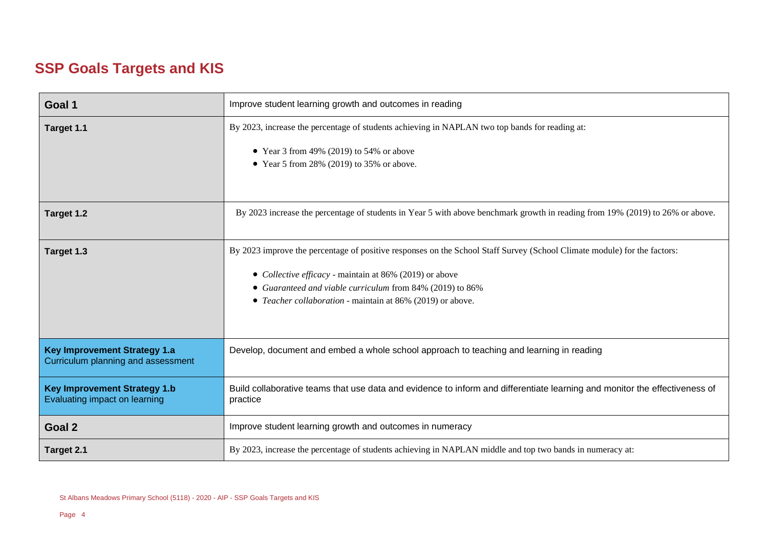### **SSP Goals Targets and KIS**

| Goal 1                                                                    | Improve student learning growth and outcomes in reading                                                                                                                                                                                                                                                                   |
|---------------------------------------------------------------------------|---------------------------------------------------------------------------------------------------------------------------------------------------------------------------------------------------------------------------------------------------------------------------------------------------------------------------|
| Target 1.1                                                                | By 2023, increase the percentage of students achieving in NAPLAN two top bands for reading at:<br>• Year 3 from 49% (2019) to 54% or above<br>• Year 5 from 28% (2019) to 35% or above.                                                                                                                                   |
| Target 1.2                                                                | By 2023 increase the percentage of students in Year 5 with above benchmark growth in reading from 19% (2019) to 26% or above.                                                                                                                                                                                             |
| Target 1.3                                                                | By 2023 improve the percentage of positive responses on the School Staff Survey (School Climate module) for the factors:<br>• Collective efficacy - maintain at 86% (2019) or above<br>Guaranteed and viable curriculum from 84% (2019) to 86%<br>$\bullet$<br>• Teacher collaboration - maintain at 86% (2019) or above. |
| <b>Key Improvement Strategy 1.a</b><br>Curriculum planning and assessment | Develop, document and embed a whole school approach to teaching and learning in reading                                                                                                                                                                                                                                   |
| <b>Key Improvement Strategy 1.b</b><br>Evaluating impact on learning      | Build collaborative teams that use data and evidence to inform and differentiate learning and monitor the effectiveness of<br>practice                                                                                                                                                                                    |
| Goal 2                                                                    | Improve student learning growth and outcomes in numeracy                                                                                                                                                                                                                                                                  |
| Target 2.1                                                                | By 2023, increase the percentage of students achieving in NAPLAN middle and top two bands in numeracy at:                                                                                                                                                                                                                 |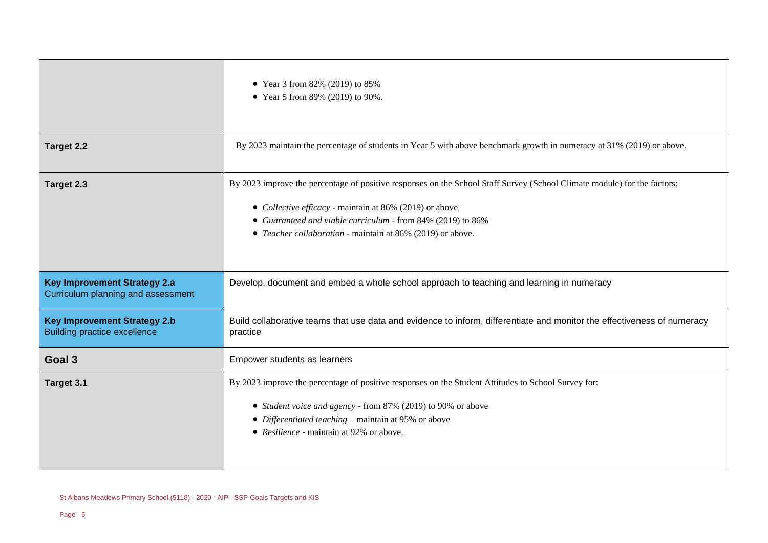|                                                                            | • Year 3 from 82% (2019) to 85%<br>• Year 5 from 89% (2019) to 90%.                                                                                                                                                                                                                                              |
|----------------------------------------------------------------------------|------------------------------------------------------------------------------------------------------------------------------------------------------------------------------------------------------------------------------------------------------------------------------------------------------------------|
| Target 2.2                                                                 | By 2023 maintain the percentage of students in Year 5 with above benchmark growth in numeracy at 31% (2019) or above.                                                                                                                                                                                            |
| Target 2.3                                                                 | By 2023 improve the percentage of positive responses on the School Staff Survey (School Climate module) for the factors:<br>• Collective efficacy - maintain at 86% (2019) or above<br>• Guaranteed and viable curriculum - from 84% (2019) to 86%<br>• Teacher collaboration - maintain at 86% (2019) or above. |
| <b>Key Improvement Strategy 2.a</b><br>Curriculum planning and assessment  | Develop, document and embed a whole school approach to teaching and learning in numeracy                                                                                                                                                                                                                         |
| <b>Key Improvement Strategy 2.b</b><br><b>Building practice excellence</b> | Build collaborative teams that use data and evidence to inform, differentiate and monitor the effectiveness of numeracy<br>practice                                                                                                                                                                              |
| Goal 3                                                                     | Empower students as learners                                                                                                                                                                                                                                                                                     |
| Target 3.1                                                                 | By 2023 improve the percentage of positive responses on the Student Attitudes to School Survey for:<br>• Student voice and agency - from 87% (2019) to 90% or above<br>• Differentiated teaching – maintain at 95% or above<br>• Resilience - maintain at 92% or above.                                          |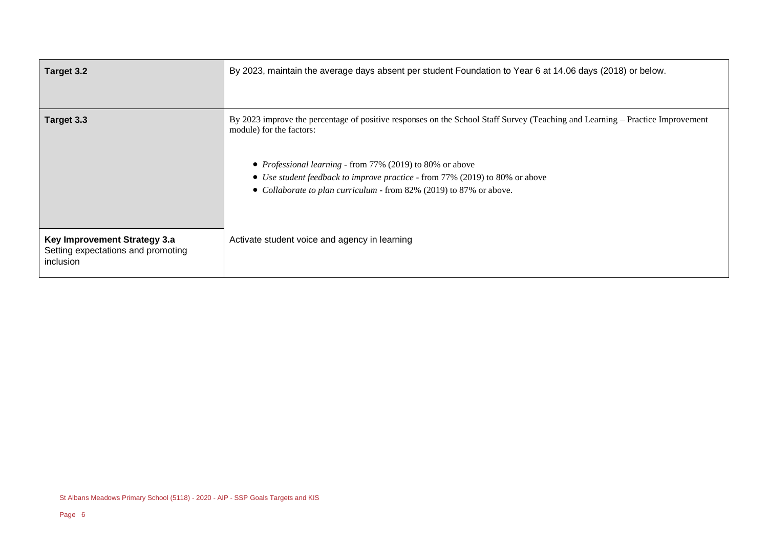| Target 3.2                                                                      | By 2023, maintain the average days absent per student Foundation to Year 6 at 14.06 days (2018) or below.                                                                                                                                                                                                                                                                            |
|---------------------------------------------------------------------------------|--------------------------------------------------------------------------------------------------------------------------------------------------------------------------------------------------------------------------------------------------------------------------------------------------------------------------------------------------------------------------------------|
| Target 3.3                                                                      | By 2023 improve the percentage of positive responses on the School Staff Survey (Teaching and Learning – Practice Improvement<br>module) for the factors:<br>• <i>Professional learning</i> - from 77% (2019) to 80% or above<br>• Use student feedback to improve practice - from 77% (2019) to 80% or above<br>• Collaborate to plan curriculum - from 82% (2019) to 87% or above. |
| Key Improvement Strategy 3.a<br>Setting expectations and promoting<br>inclusion | Activate student voice and agency in learning                                                                                                                                                                                                                                                                                                                                        |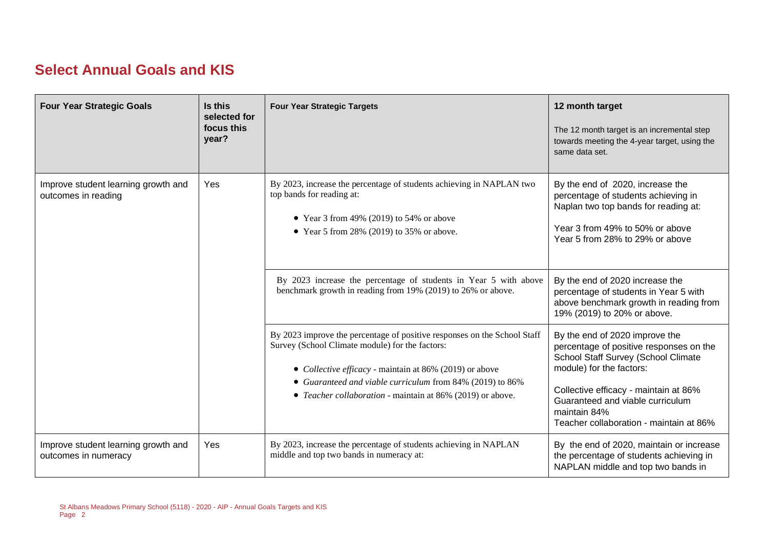#### **Select Annual Goals and KIS**

| <b>Four Year Strategic Goals</b>                            | Is this<br>selected for<br>focus this<br>year? | <b>Four Year Strategic Targets</b>                                                                                                                                                                                                                  | 12 month target<br>The 12 month target is an incremental step<br>towards meeting the 4-year target, using the<br>same data set.                                                       |
|-------------------------------------------------------------|------------------------------------------------|-----------------------------------------------------------------------------------------------------------------------------------------------------------------------------------------------------------------------------------------------------|---------------------------------------------------------------------------------------------------------------------------------------------------------------------------------------|
| Improve student learning growth and<br>outcomes in reading  | <b>Yes</b>                                     | By 2023, increase the percentage of students achieving in NAPLAN two<br>top bands for reading at:<br>• Year 3 from 49% (2019) to 54% or above<br>• Year 5 from 28% (2019) to 35% or above.                                                          | By the end of 2020, increase the<br>percentage of students achieving in<br>Naplan two top bands for reading at:<br>Year 3 from 49% to 50% or above<br>Year 5 from 28% to 29% or above |
|                                                             |                                                | By 2023 increase the percentage of students in Year 5 with above<br>benchmark growth in reading from 19% (2019) to 26% or above.                                                                                                                    | By the end of 2020 increase the<br>percentage of students in Year 5 with<br>above benchmark growth in reading from<br>19% (2019) to 20% or above.                                     |
|                                                             |                                                | By 2023 improve the percentage of positive responses on the School Staff<br>Survey (School Climate module) for the factors:<br>• Collective efficacy - maintain at 86% (2019) or above<br>• Guaranteed and viable curriculum from 84% (2019) to 86% | By the end of 2020 improve the<br>percentage of positive responses on the<br>School Staff Survey (School Climate<br>module) for the factors:                                          |
|                                                             |                                                | • Teacher collaboration - maintain at 86% (2019) or above.                                                                                                                                                                                          | Collective efficacy - maintain at 86%<br>Guaranteed and viable curriculum<br>maintain 84%<br>Teacher collaboration - maintain at 86%                                                  |
| Improve student learning growth and<br>outcomes in numeracy | Yes                                            | By 2023, increase the percentage of students achieving in NAPLAN<br>middle and top two bands in numeracy at:                                                                                                                                        | By the end of 2020, maintain or increase<br>the percentage of students achieving in<br>NAPLAN middle and top two bands in                                                             |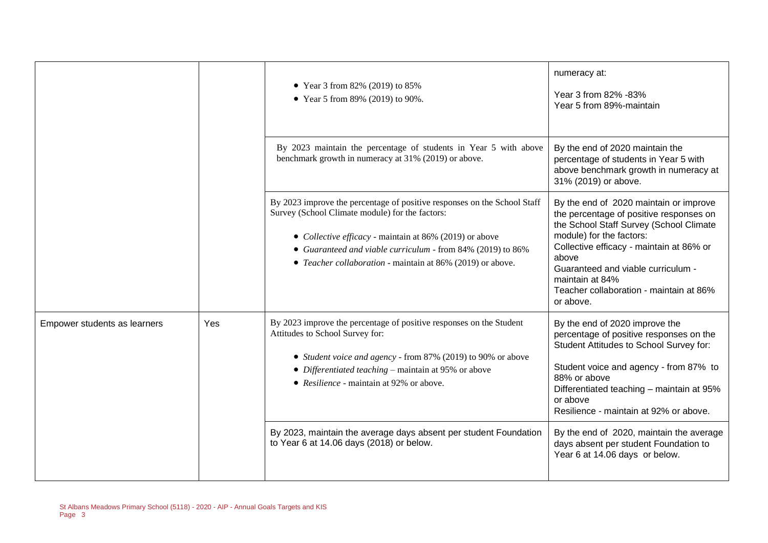|                              |     | • Year 3 from 82% (2019) to 85%<br>• Year 5 from 89% (2019) to 90%.                                                                                                                                                                                                                                                 | numeracy at:<br>Year 3 from 82% -83%<br>Year 5 from 89%-maintain                                                                                                                                                                                                                                                               |
|------------------------------|-----|---------------------------------------------------------------------------------------------------------------------------------------------------------------------------------------------------------------------------------------------------------------------------------------------------------------------|--------------------------------------------------------------------------------------------------------------------------------------------------------------------------------------------------------------------------------------------------------------------------------------------------------------------------------|
|                              |     | By 2023 maintain the percentage of students in Year 5 with above<br>benchmark growth in numeracy at 31% (2019) or above.                                                                                                                                                                                            | By the end of 2020 maintain the<br>percentage of students in Year 5 with<br>above benchmark growth in numeracy at<br>31% (2019) or above.                                                                                                                                                                                      |
|                              |     | By 2023 improve the percentage of positive responses on the School Staff<br>Survey (School Climate module) for the factors:<br>• Collective efficacy - maintain at 86% (2019) or above<br>• Guaranteed and viable curriculum - from 84% (2019) to 86%<br>• Teacher collaboration - maintain at 86% (2019) or above. | By the end of 2020 maintain or improve<br>the percentage of positive responses on<br>the School Staff Survey (School Climate<br>module) for the factors:<br>Collective efficacy - maintain at 86% or<br>above<br>Guaranteed and viable curriculum -<br>maintain at 84%<br>Teacher collaboration - maintain at 86%<br>or above. |
| Empower students as learners | Yes | By 2023 improve the percentage of positive responses on the Student<br>Attitudes to School Survey for:<br>• Student voice and agency - from 87% (2019) to 90% or above<br>• Differentiated teaching – maintain at 95% or above<br>• Resilience - maintain at 92% or above.                                          | By the end of 2020 improve the<br>percentage of positive responses on the<br>Student Attitudes to School Survey for:<br>Student voice and agency - from 87% to<br>88% or above<br>Differentiated teaching - maintain at 95%<br>or above<br>Resilience - maintain at 92% or above.                                              |
|                              |     | By 2023, maintain the average days absent per student Foundation<br>to Year 6 at 14.06 days (2018) or below.                                                                                                                                                                                                        | By the end of 2020, maintain the average<br>days absent per student Foundation to<br>Year 6 at 14.06 days or below.                                                                                                                                                                                                            |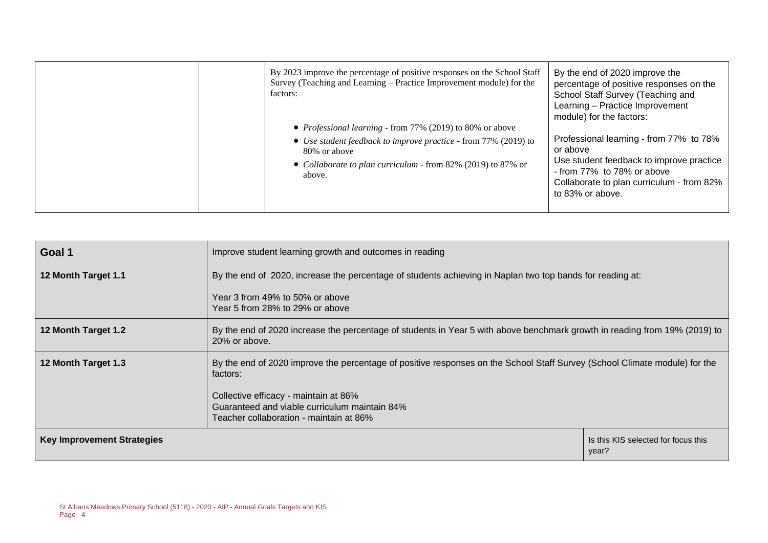| By 2023 improve the percentage of positive responses on the School Staff<br>Survey (Teaching and Learning – Practice Improvement module) for the<br>factors:<br>• Professional learning - from 77% (2019) to 80% or above | By the end of 2020 improve the<br>percentage of positive responses on the<br>School Staff Survey (Teaching and<br>Learning - Practice Improvement<br>module) for the factors:                  |
|---------------------------------------------------------------------------------------------------------------------------------------------------------------------------------------------------------------------------|------------------------------------------------------------------------------------------------------------------------------------------------------------------------------------------------|
| • Use student feedback to improve practice - from 77% (2019) to<br>80% or above<br>• Collaborate to plan curriculum - from 82% (2019) to 87% or<br>above.                                                                 | Professional learning - from 77% to 78%<br>or above<br>Use student feedback to improve practice<br>- from 77% to 78% or above<br>Collaborate to plan curriculum - from 82%<br>to 83% or above. |

| Goal 1                            | Improve student learning growth and outcomes in reading                                                                                     |                                              |  |
|-----------------------------------|---------------------------------------------------------------------------------------------------------------------------------------------|----------------------------------------------|--|
| 12 Month Target 1.1               | By the end of 2020, increase the percentage of students achieving in Naplan two top bands for reading at:                                   |                                              |  |
|                                   | Year 3 from 49% to 50% or above<br>Year 5 from 28% to 29% or above                                                                          |                                              |  |
| 12 Month Target 1.2               | By the end of 2020 increase the percentage of students in Year 5 with above benchmark growth in reading from 19% (2019) to<br>20% or above. |                                              |  |
| 12 Month Target 1.3               | By the end of 2020 improve the percentage of positive responses on the School Staff Survey (School Climate module) for the<br>factors:      |                                              |  |
|                                   | Collective efficacy - maintain at 86%                                                                                                       |                                              |  |
|                                   | Guaranteed and viable curriculum maintain 84%<br>Teacher collaboration - maintain at 86%                                                    |                                              |  |
| <b>Key Improvement Strategies</b> |                                                                                                                                             | Is this KIS selected for focus this<br>year? |  |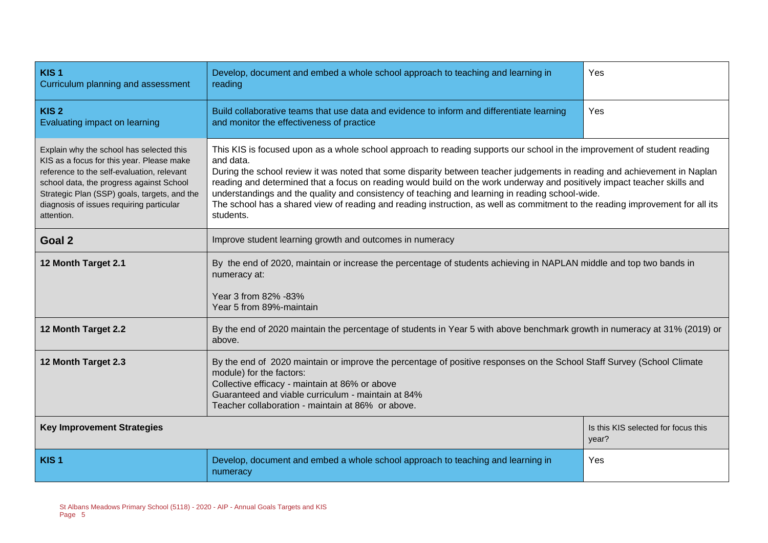| KIS <sub>1</sub><br>Curriculum planning and assessment                                                                                                                                                                                                                                    | Develop, document and embed a whole school approach to teaching and learning in<br>Yes<br>reading                                                                                                                                                                                                                                                                                                                                                                                                                                                                                                                                               |                                              |  |  |  |
|-------------------------------------------------------------------------------------------------------------------------------------------------------------------------------------------------------------------------------------------------------------------------------------------|-------------------------------------------------------------------------------------------------------------------------------------------------------------------------------------------------------------------------------------------------------------------------------------------------------------------------------------------------------------------------------------------------------------------------------------------------------------------------------------------------------------------------------------------------------------------------------------------------------------------------------------------------|----------------------------------------------|--|--|--|
| KIS <sub>2</sub><br>Evaluating impact on learning                                                                                                                                                                                                                                         | Build collaborative teams that use data and evidence to inform and differentiate learning<br>Yes<br>and monitor the effectiveness of practice                                                                                                                                                                                                                                                                                                                                                                                                                                                                                                   |                                              |  |  |  |
| Explain why the school has selected this<br>KIS as a focus for this year. Please make<br>reference to the self-evaluation, relevant<br>school data, the progress against School<br>Strategic Plan (SSP) goals, targets, and the<br>diagnosis of issues requiring particular<br>attention. | This KIS is focused upon as a whole school approach to reading supports our school in the improvement of student reading<br>and data.<br>During the school review it was noted that some disparity between teacher judgements in reading and achievement in Naplan<br>reading and determined that a focus on reading would build on the work underway and positively impact teacher skills and<br>understandings and the quality and consistency of teaching and learning in reading school-wide.<br>The school has a shared view of reading and reading instruction, as well as commitment to the reading improvement for all its<br>students. |                                              |  |  |  |
| Goal 2                                                                                                                                                                                                                                                                                    | Improve student learning growth and outcomes in numeracy                                                                                                                                                                                                                                                                                                                                                                                                                                                                                                                                                                                        |                                              |  |  |  |
| 12 Month Target 2.1                                                                                                                                                                                                                                                                       | By the end of 2020, maintain or increase the percentage of students achieving in NAPLAN middle and top two bands in<br>numeracy at:<br>Year 3 from 82% -83%<br>Year 5 from 89%-maintain                                                                                                                                                                                                                                                                                                                                                                                                                                                         |                                              |  |  |  |
| 12 Month Target 2.2                                                                                                                                                                                                                                                                       | By the end of 2020 maintain the percentage of students in Year 5 with above benchmark growth in numeracy at 31% (2019) or<br>above.                                                                                                                                                                                                                                                                                                                                                                                                                                                                                                             |                                              |  |  |  |
| 12 Month Target 2.3                                                                                                                                                                                                                                                                       | By the end of 2020 maintain or improve the percentage of positive responses on the School Staff Survey (School Climate<br>module) for the factors:<br>Collective efficacy - maintain at 86% or above<br>Guaranteed and viable curriculum - maintain at 84%<br>Teacher collaboration - maintain at 86% or above.                                                                                                                                                                                                                                                                                                                                 |                                              |  |  |  |
| <b>Key Improvement Strategies</b>                                                                                                                                                                                                                                                         |                                                                                                                                                                                                                                                                                                                                                                                                                                                                                                                                                                                                                                                 | Is this KIS selected for focus this<br>year? |  |  |  |
| KIS <sub>1</sub>                                                                                                                                                                                                                                                                          | Develop, document and embed a whole school approach to teaching and learning in<br>Yes<br>numeracy                                                                                                                                                                                                                                                                                                                                                                                                                                                                                                                                              |                                              |  |  |  |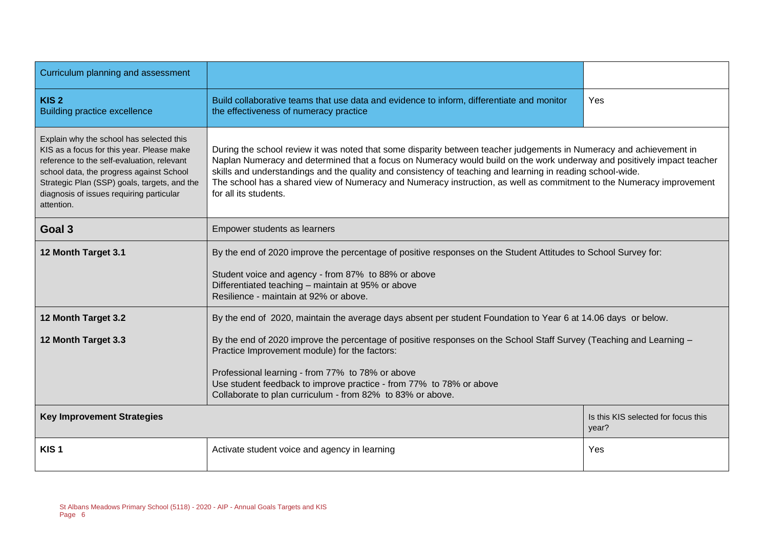| Curriculum planning and assessment                                                                                                                                                                                                                                                        |                                                                                                                                                                                                                                                                                                                                                                                                                                                                                                              |                                              |  |  |  |
|-------------------------------------------------------------------------------------------------------------------------------------------------------------------------------------------------------------------------------------------------------------------------------------------|--------------------------------------------------------------------------------------------------------------------------------------------------------------------------------------------------------------------------------------------------------------------------------------------------------------------------------------------------------------------------------------------------------------------------------------------------------------------------------------------------------------|----------------------------------------------|--|--|--|
| KIS <sub>2</sub><br><b>Building practice excellence</b>                                                                                                                                                                                                                                   | Build collaborative teams that use data and evidence to inform, differentiate and monitor<br>the effectiveness of numeracy practice                                                                                                                                                                                                                                                                                                                                                                          | Yes                                          |  |  |  |
| Explain why the school has selected this<br>KIS as a focus for this year. Please make<br>reference to the self-evaluation, relevant<br>school data, the progress against School<br>Strategic Plan (SSP) goals, targets, and the<br>diagnosis of issues requiring particular<br>attention. | During the school review it was noted that some disparity between teacher judgements in Numeracy and achievement in<br>Naplan Numeracy and determined that a focus on Numeracy would build on the work underway and positively impact teacher<br>skills and understandings and the quality and consistency of teaching and learning in reading school-wide.<br>The school has a shared view of Numeracy and Numeracy instruction, as well as commitment to the Numeracy improvement<br>for all its students. |                                              |  |  |  |
| Goal 3                                                                                                                                                                                                                                                                                    | Empower students as learners                                                                                                                                                                                                                                                                                                                                                                                                                                                                                 |                                              |  |  |  |
| 12 Month Target 3.1                                                                                                                                                                                                                                                                       | By the end of 2020 improve the percentage of positive responses on the Student Attitudes to School Survey for:                                                                                                                                                                                                                                                                                                                                                                                               |                                              |  |  |  |
|                                                                                                                                                                                                                                                                                           | Student voice and agency - from 87% to 88% or above<br>Differentiated teaching - maintain at 95% or above<br>Resilience - maintain at 92% or above.                                                                                                                                                                                                                                                                                                                                                          |                                              |  |  |  |
| 12 Month Target 3.2                                                                                                                                                                                                                                                                       | By the end of 2020, maintain the average days absent per student Foundation to Year 6 at 14.06 days or below.                                                                                                                                                                                                                                                                                                                                                                                                |                                              |  |  |  |
| 12 Month Target 3.3                                                                                                                                                                                                                                                                       | By the end of 2020 improve the percentage of positive responses on the School Staff Survey (Teaching and Learning -<br>Practice Improvement module) for the factors:<br>Professional learning - from 77% to 78% or above<br>Use student feedback to improve practice - from 77% to 78% or above<br>Collaborate to plan curriculum - from 82% to 83% or above.                                                                                                                                                |                                              |  |  |  |
| <b>Key Improvement Strategies</b>                                                                                                                                                                                                                                                         |                                                                                                                                                                                                                                                                                                                                                                                                                                                                                                              | Is this KIS selected for focus this<br>year? |  |  |  |
| KIS <sub>1</sub>                                                                                                                                                                                                                                                                          | Activate student voice and agency in learning<br>Yes                                                                                                                                                                                                                                                                                                                                                                                                                                                         |                                              |  |  |  |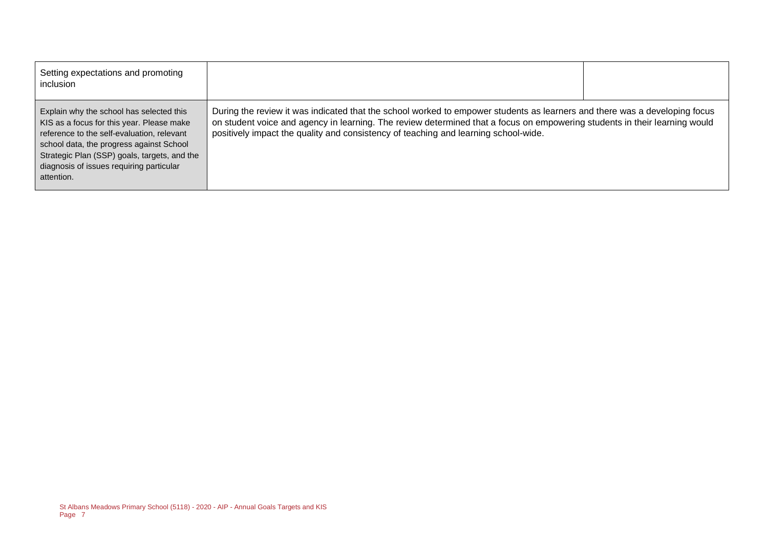| Setting expectations and promoting<br>inclusion                                                                                                                                                                                                                                           |                                                                                                                                                                                                                                                                                                                                                 |  |
|-------------------------------------------------------------------------------------------------------------------------------------------------------------------------------------------------------------------------------------------------------------------------------------------|-------------------------------------------------------------------------------------------------------------------------------------------------------------------------------------------------------------------------------------------------------------------------------------------------------------------------------------------------|--|
| Explain why the school has selected this<br>KIS as a focus for this year. Please make<br>reference to the self-evaluation, relevant<br>school data, the progress against School<br>Strategic Plan (SSP) goals, targets, and the<br>diagnosis of issues requiring particular<br>attention. | During the review it was indicated that the school worked to empower students as learners and there was a developing focus<br>on student voice and agency in learning. The review determined that a focus on empowering students in their learning would<br>positively impact the quality and consistency of teaching and learning school-wide. |  |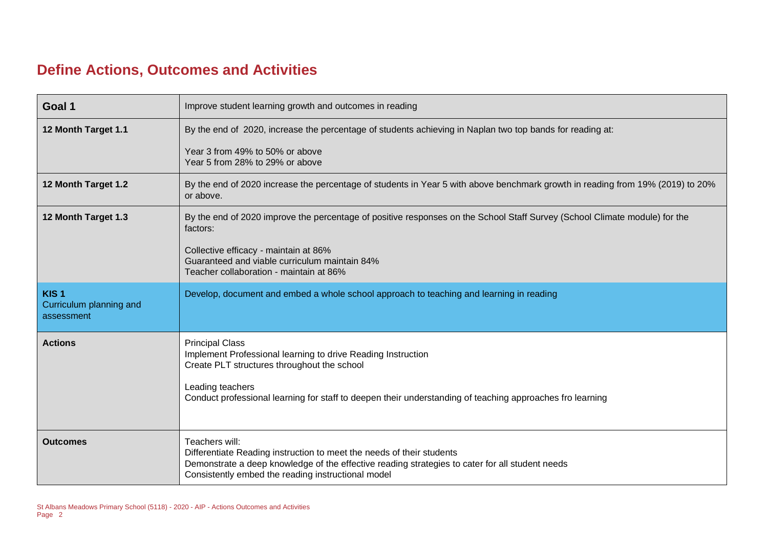### **Define Actions, Outcomes and Activities**

| Goal 1                                                    | Improve student learning growth and outcomes in reading                                                                                                                                                                                                                |
|-----------------------------------------------------------|------------------------------------------------------------------------------------------------------------------------------------------------------------------------------------------------------------------------------------------------------------------------|
| 12 Month Target 1.1                                       | By the end of 2020, increase the percentage of students achieving in Naplan two top bands for reading at:                                                                                                                                                              |
|                                                           | Year 3 from 49% to 50% or above<br>Year 5 from 28% to 29% or above                                                                                                                                                                                                     |
| 12 Month Target 1.2                                       | By the end of 2020 increase the percentage of students in Year 5 with above benchmark growth in reading from 19% (2019) to 20%<br>or above.                                                                                                                            |
| 12 Month Target 1.3                                       | By the end of 2020 improve the percentage of positive responses on the School Staff Survey (School Climate module) for the<br>factors:                                                                                                                                 |
|                                                           | Collective efficacy - maintain at 86%<br>Guaranteed and viable curriculum maintain 84%<br>Teacher collaboration - maintain at 86%                                                                                                                                      |
| KIS <sub>1</sub><br>Curriculum planning and<br>assessment | Develop, document and embed a whole school approach to teaching and learning in reading                                                                                                                                                                                |
| <b>Actions</b>                                            | <b>Principal Class</b><br>Implement Professional learning to drive Reading Instruction<br>Create PLT structures throughout the school<br>Leading teachers<br>Conduct professional learning for staff to deepen their understanding of teaching approaches fro learning |
| <b>Outcomes</b>                                           | Teachers will:<br>Differentiate Reading instruction to meet the needs of their students<br>Demonstrate a deep knowledge of the effective reading strategies to cater for all student needs<br>Consistently embed the reading instructional model                       |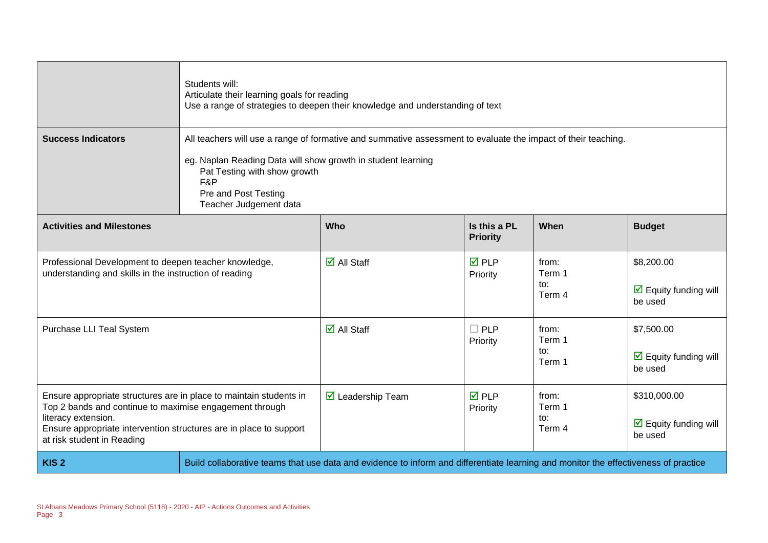|                                                                                                                                                                                                                                                          | Students will:<br>Articulate their learning goals for reading<br>Use a range of strategies to deepen their knowledge and understanding of text                                                                                                                         |                                                                                                                                     |                                 |                                  |                                                                        |
|----------------------------------------------------------------------------------------------------------------------------------------------------------------------------------------------------------------------------------------------------------|------------------------------------------------------------------------------------------------------------------------------------------------------------------------------------------------------------------------------------------------------------------------|-------------------------------------------------------------------------------------------------------------------------------------|---------------------------------|----------------------------------|------------------------------------------------------------------------|
| <b>Success Indicators</b>                                                                                                                                                                                                                                | All teachers will use a range of formative and summative assessment to evaluate the impact of their teaching.<br>eg. Naplan Reading Data will show growth in student learning<br>Pat Testing with show growth<br>F&P<br>Pre and Post Testing<br>Teacher Judgement data |                                                                                                                                     |                                 |                                  |                                                                        |
| <b>Activities and Milestones</b>                                                                                                                                                                                                                         |                                                                                                                                                                                                                                                                        | Who                                                                                                                                 | Is this a PL<br><b>Priority</b> | When                             | <b>Budget</b>                                                          |
| Professional Development to deepen teacher knowledge,<br>understanding and skills in the instruction of reading                                                                                                                                          |                                                                                                                                                                                                                                                                        | $\overline{\Box}$ All Staff                                                                                                         | $\overline{M}$ PLP<br>Priority  | from:<br>Term 1<br>to:<br>Term 4 | \$8,200.00<br>$\triangleright$ Equity funding will<br>be used          |
| Purchase LLI Teal System                                                                                                                                                                                                                                 |                                                                                                                                                                                                                                                                        | $\overline{\mathbf{M}}$ All Staff                                                                                                   | $\Box$ PLP<br>Priority          | from:<br>Term 1<br>to:<br>Term 1 | \$7,500.00<br>$\overline{\mathbf{M}}$ Equity funding will<br>be used   |
| Ensure appropriate structures are in place to maintain students in<br>Top 2 bands and continue to maximise engagement through<br>literacy extension.<br>Ensure appropriate intervention structures are in place to support<br>at risk student in Reading |                                                                                                                                                                                                                                                                        | $\boxtimes$ Leadership Team                                                                                                         | $\overline{M}$ PLP<br>Priority  | from:<br>Term 1<br>to:<br>Term 4 | \$310,000.00<br>$\overline{\mathbf{y}}$ Equity funding will<br>be used |
| KIS <sub>2</sub>                                                                                                                                                                                                                                         |                                                                                                                                                                                                                                                                        | Build collaborative teams that use data and evidence to inform and differentiate learning and monitor the effectiveness of practice |                                 |                                  |                                                                        |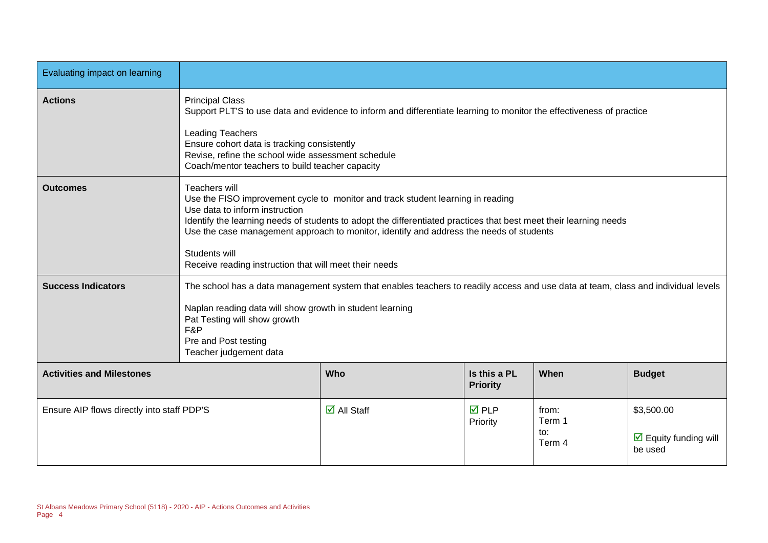| Evaluating impact on learning              |                                                                                                                                                                                                                                                                                                                                                                                                                               |                                                                                                                                                                                               |                                |                                  |                                                                      |
|--------------------------------------------|-------------------------------------------------------------------------------------------------------------------------------------------------------------------------------------------------------------------------------------------------------------------------------------------------------------------------------------------------------------------------------------------------------------------------------|-----------------------------------------------------------------------------------------------------------------------------------------------------------------------------------------------|--------------------------------|----------------------------------|----------------------------------------------------------------------|
| <b>Actions</b>                             | <b>Principal Class</b><br>Support PLT'S to use data and evidence to inform and differentiate learning to monitor the effectiveness of practice<br><b>Leading Teachers</b><br>Ensure cohort data is tracking consistently<br>Revise, refine the school wide assessment schedule<br>Coach/mentor teachers to build teacher capacity                                                                                             |                                                                                                                                                                                               |                                |                                  |                                                                      |
| <b>Outcomes</b>                            | Teachers will<br>Use the FISO improvement cycle to monitor and track student learning in reading<br>Use data to inform instruction<br>Identify the learning needs of students to adopt the differentiated practices that best meet their learning needs<br>Use the case management approach to monitor, identify and address the needs of students<br>Students will<br>Receive reading instruction that will meet their needs |                                                                                                                                                                                               |                                |                                  |                                                                      |
| <b>Success Indicators</b>                  | Pat Testing will show growth<br>F&P<br>Pre and Post testing<br>Teacher judgement data                                                                                                                                                                                                                                                                                                                                         | The school has a data management system that enables teachers to readily access and use data at team, class and individual levels<br>Naplan reading data will show growth in student learning |                                |                                  |                                                                      |
| <b>Activities and Milestones</b>           | Is this a PL<br>When<br><b>Budget</b><br>Who<br><b>Priority</b>                                                                                                                                                                                                                                                                                                                                                               |                                                                                                                                                                                               |                                |                                  |                                                                      |
| Ensure AIP flows directly into staff PDP'S |                                                                                                                                                                                                                                                                                                                                                                                                                               | $\overline{\mathbf{M}}$ All Staff                                                                                                                                                             | $\overline{M}$ PLP<br>Priority | from:<br>Term 1<br>to:<br>Term 4 | \$3,500.00<br>$\overline{\mathbf{M}}$ Equity funding will<br>be used |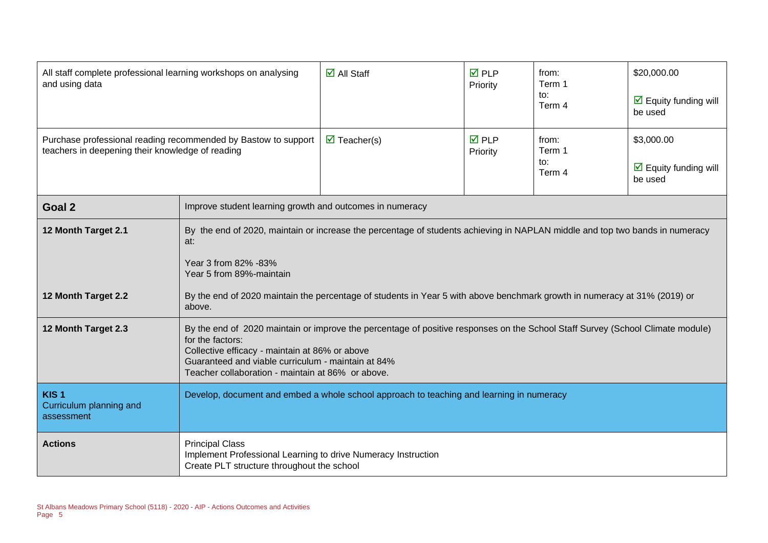| All staff complete professional learning workshops on analysing<br>and using data                                  |                                                                                                                                                                                                                                                                                                                 | $\overline{\mathsf{d}}$ All Staff                                                                                         | <b>☑</b> PLP<br>Priority | from:<br>Term 1<br>to:<br>Term 4 | \$20,000.00<br>$\triangleright$ Equity funding will<br>be used       |
|--------------------------------------------------------------------------------------------------------------------|-----------------------------------------------------------------------------------------------------------------------------------------------------------------------------------------------------------------------------------------------------------------------------------------------------------------|---------------------------------------------------------------------------------------------------------------------------|--------------------------|----------------------------------|----------------------------------------------------------------------|
| Purchase professional reading recommended by Bastow to support<br>teachers in deepening their knowledge of reading |                                                                                                                                                                                                                                                                                                                 | $\overline{\mathbf{M}}$ Teacher(s)                                                                                        | <b>☑</b> PLP<br>Priority | from:<br>Term 1<br>to:<br>Term 4 | \$3,000.00<br>$\overline{\mathbf{M}}$ Equity funding will<br>be used |
| Goal 2                                                                                                             | Improve student learning growth and outcomes in numeracy                                                                                                                                                                                                                                                        |                                                                                                                           |                          |                                  |                                                                      |
| 12 Month Target 2.1                                                                                                | By the end of 2020, maintain or increase the percentage of students achieving in NAPLAN middle and top two bands in numeracy<br>at:<br>Year 3 from 82% -83%<br>Year 5 from 89%-maintain                                                                                                                         |                                                                                                                           |                          |                                  |                                                                      |
| 12 Month Target 2.2                                                                                                | above.                                                                                                                                                                                                                                                                                                          | By the end of 2020 maintain the percentage of students in Year 5 with above benchmark growth in numeracy at 31% (2019) or |                          |                                  |                                                                      |
| 12 Month Target 2.3                                                                                                | By the end of 2020 maintain or improve the percentage of positive responses on the School Staff Survey (School Climate module)<br>for the factors:<br>Collective efficacy - maintain at 86% or above<br>Guaranteed and viable curriculum - maintain at 84%<br>Teacher collaboration - maintain at 86% or above. |                                                                                                                           |                          |                                  |                                                                      |
| KIS <sub>1</sub><br>Curriculum planning and<br>assessment                                                          |                                                                                                                                                                                                                                                                                                                 | Develop, document and embed a whole school approach to teaching and learning in numeracy                                  |                          |                                  |                                                                      |
| <b>Actions</b>                                                                                                     | <b>Principal Class</b><br>Implement Professional Learning to drive Numeracy Instruction<br>Create PLT structure throughout the school                                                                                                                                                                           |                                                                                                                           |                          |                                  |                                                                      |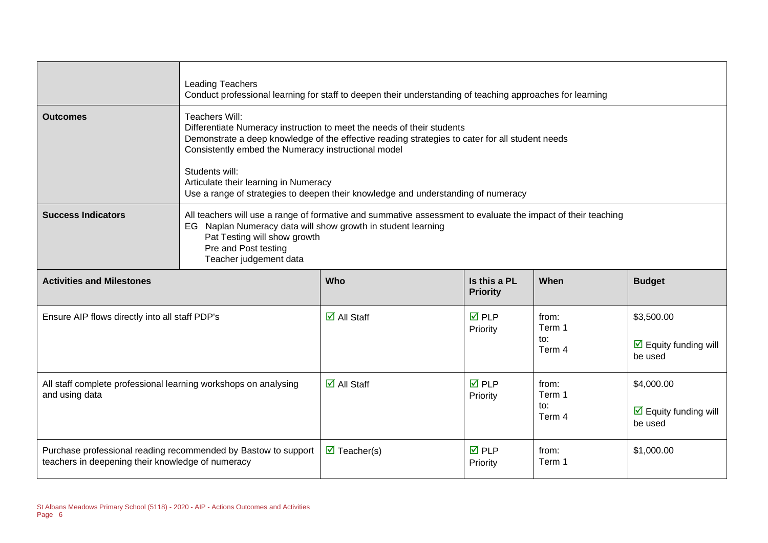|                                                                                   | <b>Leading Teachers</b><br>Conduct professional learning for staff to deepen their understanding of teaching approaches for learning                                                                                                                                                                                                                                                               |                                    |                                 |                                  |                                                               |
|-----------------------------------------------------------------------------------|----------------------------------------------------------------------------------------------------------------------------------------------------------------------------------------------------------------------------------------------------------------------------------------------------------------------------------------------------------------------------------------------------|------------------------------------|---------------------------------|----------------------------------|---------------------------------------------------------------|
| <b>Outcomes</b>                                                                   | Teachers Will:<br>Differentiate Numeracy instruction to meet the needs of their students<br>Demonstrate a deep knowledge of the effective reading strategies to cater for all student needs<br>Consistently embed the Numeracy instructional model<br>Students will:<br>Articulate their learning in Numeracy<br>Use a range of strategies to deepen their knowledge and understanding of numeracy |                                    |                                 |                                  |                                                               |
| <b>Success Indicators</b>                                                         | All teachers will use a range of formative and summative assessment to evaluate the impact of their teaching<br>EG Naplan Numeracy data will show growth in student learning<br>Pat Testing will show growth<br>Pre and Post testing<br>Teacher judgement data                                                                                                                                     |                                    |                                 |                                  |                                                               |
| <b>Activities and Milestones</b>                                                  |                                                                                                                                                                                                                                                                                                                                                                                                    | Who                                | Is this a PL<br><b>Priority</b> | When                             | <b>Budget</b>                                                 |
| Ensure AIP flows directly into all staff PDP's                                    |                                                                                                                                                                                                                                                                                                                                                                                                    | $\overline{\mathsf{d}}$ All Staff  | $\overline{M}$ PLP<br>Priority  | from:<br>Term 1<br>to:<br>Term 4 | \$3,500.00<br>$\triangledown$ Equity funding will<br>be used  |
| All staff complete professional learning workshops on analysing<br>and using data |                                                                                                                                                                                                                                                                                                                                                                                                    | $\overline{\triangle}$ All Staff   | $\overline{M}$ PLP<br>Priority  | from:<br>Term 1<br>to:<br>Term 4 | \$4,000.00<br>$\triangleright$ Equity funding will<br>be used |
| teachers in deepening their knowledge of numeracy                                 | Purchase professional reading recommended by Bastow to support                                                                                                                                                                                                                                                                                                                                     | $\overline{\mathbf{M}}$ Teacher(s) | $\overline{M}$ PLP<br>Priority  | from:<br>Term 1                  | \$1,000.00                                                    |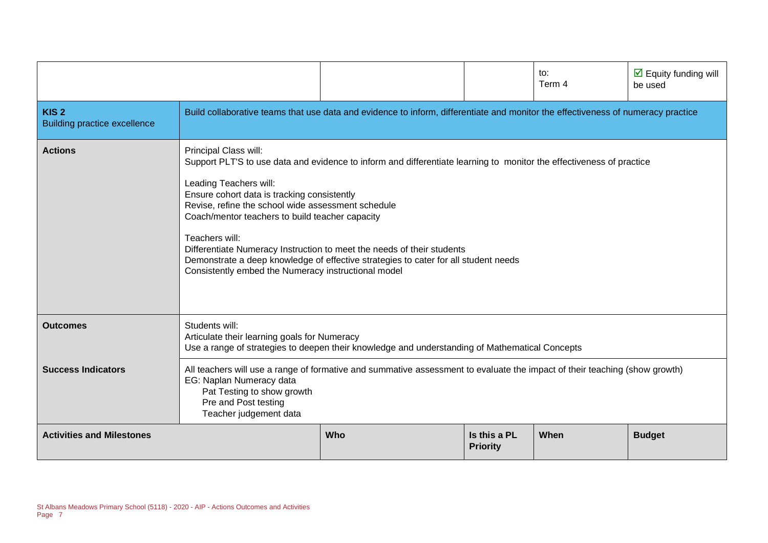|                                                         |                                                                                                                                                                                                                                                                                  |                                                                                                                                                                                                                                                                                       |                                 | to:<br>Term 4 | $\triangleright$ Equity funding will<br>be used |  |  |
|---------------------------------------------------------|----------------------------------------------------------------------------------------------------------------------------------------------------------------------------------------------------------------------------------------------------------------------------------|---------------------------------------------------------------------------------------------------------------------------------------------------------------------------------------------------------------------------------------------------------------------------------------|---------------------------------|---------------|-------------------------------------------------|--|--|
| KIS <sub>2</sub><br><b>Building practice excellence</b> |                                                                                                                                                                                                                                                                                  | Build collaborative teams that use data and evidence to inform, differentiate and monitor the effectiveness of numeracy practice                                                                                                                                                      |                                 |               |                                                 |  |  |
| <b>Actions</b>                                          | Principal Class will:<br>Leading Teachers will:<br>Ensure cohort data is tracking consistently<br>Revise, refine the school wide assessment schedule<br>Coach/mentor teachers to build teacher capacity<br>Teachers will:<br>Consistently embed the Numeracy instructional model | Support PLT'S to use data and evidence to inform and differentiate learning to monitor the effectiveness of practice<br>Differentiate Numeracy Instruction to meet the needs of their students<br>Demonstrate a deep knowledge of effective strategies to cater for all student needs |                                 |               |                                                 |  |  |
| <b>Outcomes</b>                                         | Students will:<br>Articulate their learning goals for Numeracy<br>Use a range of strategies to deepen their knowledge and understanding of Mathematical Concepts                                                                                                                 |                                                                                                                                                                                                                                                                                       |                                 |               |                                                 |  |  |
| <b>Success Indicators</b>                               | All teachers will use a range of formative and summative assessment to evaluate the impact of their teaching (show growth)<br>EG: Naplan Numeracy data<br>Pat Testing to show growth<br>Pre and Post testing<br>Teacher judgement data                                           |                                                                                                                                                                                                                                                                                       |                                 |               |                                                 |  |  |
| <b>Activities and Milestones</b>                        |                                                                                                                                                                                                                                                                                  | Who                                                                                                                                                                                                                                                                                   | Is this a PL<br><b>Priority</b> | When          | <b>Budget</b>                                   |  |  |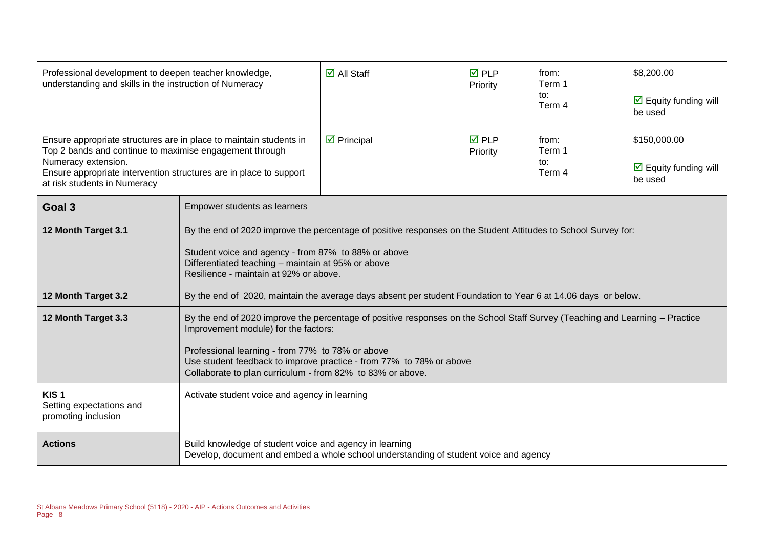| Professional development to deepen teacher knowledge,<br>understanding and skills in the instruction of Numeracy                                                                                                                                           |                                                                                                                                                                                                                                                                                                                                                               | $\overline{\Box}$ All Staff                                                          | $\overline{M}$ PLP<br>Priority | from:<br>Term 1<br>to:<br>Term 4 | \$8,200.00<br>$\triangleright$ Equity funding will<br>be used   |
|------------------------------------------------------------------------------------------------------------------------------------------------------------------------------------------------------------------------------------------------------------|---------------------------------------------------------------------------------------------------------------------------------------------------------------------------------------------------------------------------------------------------------------------------------------------------------------------------------------------------------------|--------------------------------------------------------------------------------------|--------------------------------|----------------------------------|-----------------------------------------------------------------|
| Ensure appropriate structures are in place to maintain students in<br>Top 2 bands and continue to maximise engagement through<br>Numeracy extension.<br>Ensure appropriate intervention structures are in place to support<br>at risk students in Numeracy |                                                                                                                                                                                                                                                                                                                                                               | $\triangleright$ Principal                                                           | <b>ØPLP</b><br>Priority        | from:<br>Term 1<br>to:<br>Term 4 | \$150,000.00<br>$\triangleright$ Equity funding will<br>be used |
| Goal 3                                                                                                                                                                                                                                                     | Empower students as learners                                                                                                                                                                                                                                                                                                                                  |                                                                                      |                                |                                  |                                                                 |
| 12 Month Target 3.1                                                                                                                                                                                                                                        | By the end of 2020 improve the percentage of positive responses on the Student Attitudes to School Survey for:<br>Student voice and agency - from 87% to 88% or above<br>Differentiated teaching - maintain at 95% or above<br>Resilience - maintain at 92% or above.                                                                                         |                                                                                      |                                |                                  |                                                                 |
| 12 Month Target 3.2                                                                                                                                                                                                                                        | By the end of 2020, maintain the average days absent per student Foundation to Year 6 at 14.06 days or below.                                                                                                                                                                                                                                                 |                                                                                      |                                |                                  |                                                                 |
| 12 Month Target 3.3                                                                                                                                                                                                                                        | By the end of 2020 improve the percentage of positive responses on the School Staff Survey (Teaching and Learning - Practice<br>Improvement module) for the factors:<br>Professional learning - from 77% to 78% or above<br>Use student feedback to improve practice - from 77% to 78% or above<br>Collaborate to plan curriculum - from 82% to 83% or above. |                                                                                      |                                |                                  |                                                                 |
| KIS <sub>1</sub><br>Setting expectations and<br>promoting inclusion                                                                                                                                                                                        | Activate student voice and agency in learning                                                                                                                                                                                                                                                                                                                 |                                                                                      |                                |                                  |                                                                 |
| <b>Actions</b>                                                                                                                                                                                                                                             | Build knowledge of student voice and agency in learning                                                                                                                                                                                                                                                                                                       | Develop, document and embed a whole school understanding of student voice and agency |                                |                                  |                                                                 |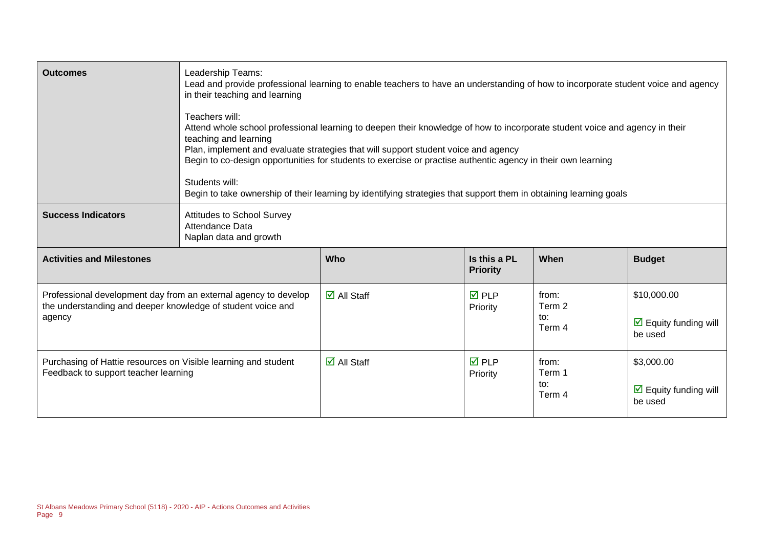| <b>Outcomes</b>                                                                                                                          | Leadership Teams:<br>Lead and provide professional learning to enable teachers to have an understanding of how to incorporate student voice and agency<br>in their teaching and learning<br>Teachers will:<br>Attend whole school professional learning to deepen their knowledge of how to incorporate student voice and agency in their<br>teaching and learning<br>Plan, implement and evaluate strategies that will support student voice and agency<br>Begin to co-design opportunities for students to exercise or practise authentic agency in their own learning<br>Students will:<br>Begin to take ownership of their learning by identifying strategies that support them in obtaining learning goals |                                   |                                 |                                  |                                                               |
|------------------------------------------------------------------------------------------------------------------------------------------|-----------------------------------------------------------------------------------------------------------------------------------------------------------------------------------------------------------------------------------------------------------------------------------------------------------------------------------------------------------------------------------------------------------------------------------------------------------------------------------------------------------------------------------------------------------------------------------------------------------------------------------------------------------------------------------------------------------------|-----------------------------------|---------------------------------|----------------------------------|---------------------------------------------------------------|
| <b>Success Indicators</b>                                                                                                                | <b>Attitudes to School Survey</b><br>Attendance Data<br>Naplan data and growth                                                                                                                                                                                                                                                                                                                                                                                                                                                                                                                                                                                                                                  |                                   |                                 |                                  |                                                               |
| <b>Activities and Milestones</b>                                                                                                         |                                                                                                                                                                                                                                                                                                                                                                                                                                                                                                                                                                                                                                                                                                                 | Who                               | Is this a PL<br><b>Priority</b> | When                             | <b>Budget</b>                                                 |
| Professional development day from an external agency to develop<br>the understanding and deeper knowledge of student voice and<br>agency |                                                                                                                                                                                                                                                                                                                                                                                                                                                                                                                                                                                                                                                                                                                 | $\overline{\mathsf{d}}$ All Staff | $\overline{M}$ PLP<br>Priority  | from:<br>Term 2<br>to:<br>Term 4 | \$10,000.00<br>$\triangledown$ Equity funding will<br>be used |
| Purchasing of Hattie resources on Visible learning and student<br>Feedback to support teacher learning                                   |                                                                                                                                                                                                                                                                                                                                                                                                                                                                                                                                                                                                                                                                                                                 | $\overline{\Box}$ All Staff       | $\overline{M}$ PLP<br>Priority  | from:<br>Term 1<br>to:<br>Term 4 | \$3,000.00<br>$\triangleright$ Equity funding will<br>be used |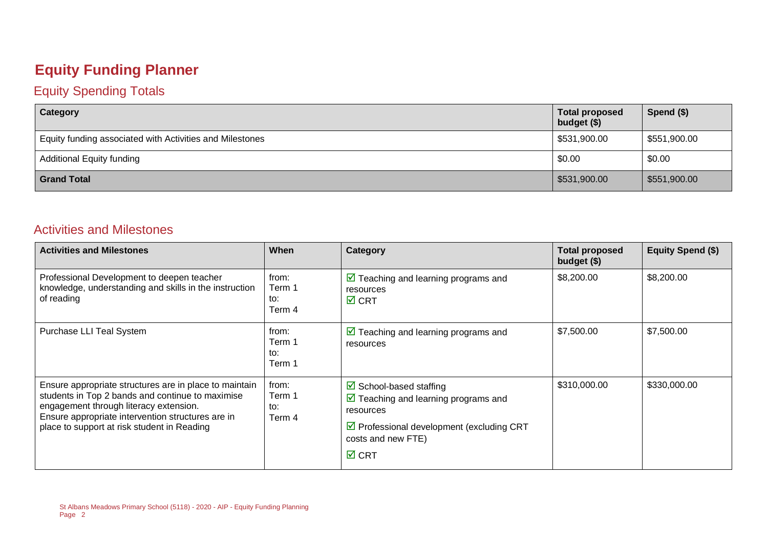#### **Equity Funding Planner**

#### Equity Spending Totals

| Category                                                 | <b>Total proposed</b><br>budget (\$) | Spend $($)$  |
|----------------------------------------------------------|--------------------------------------|--------------|
| Equity funding associated with Activities and Milestones | \$531,900.00                         | \$551,900.00 |
| <b>Additional Equity funding</b>                         | \$0.00                               | \$0.00       |
| <b>Grand Total</b>                                       | \$531,900.00                         | \$551,900.00 |

#### Activities and Milestones

| <b>Activities and Milestones</b>                                                                                                                                                                                                                         | When                             | Category                                                                                                                                                                                                   | <b>Total proposed</b><br>budget (\$) | <b>Equity Spend (\$)</b> |
|----------------------------------------------------------------------------------------------------------------------------------------------------------------------------------------------------------------------------------------------------------|----------------------------------|------------------------------------------------------------------------------------------------------------------------------------------------------------------------------------------------------------|--------------------------------------|--------------------------|
| Professional Development to deepen teacher<br>knowledge, understanding and skills in the instruction<br>of reading                                                                                                                                       | from:<br>Term 1<br>to:<br>Term 4 | $\triangleright$ Teaching and learning programs and<br>resources<br>$\boxtimes$ CRT                                                                                                                        | \$8,200.00                           | \$8,200.00               |
| Purchase LLI Teal System                                                                                                                                                                                                                                 | from:<br>Term 1<br>to:<br>Term 1 | $\triangleright$ Teaching and learning programs and<br>resources                                                                                                                                           | \$7,500.00                           | \$7,500.00               |
| Ensure appropriate structures are in place to maintain<br>students in Top 2 bands and continue to maximise<br>engagement through literacy extension.<br>Ensure appropriate intervention structures are in<br>place to support at risk student in Reading | from:<br>Term 1<br>to:<br>Term 4 | $\boxtimes$ School-based staffing<br>$\triangleright$ Teaching and learning programs and<br>resources<br>$\triangleright$ Professional development (excluding CRT<br>costs and new FTE)<br>$\boxtimes$ CRT | \$310,000.00                         | \$330,000.00             |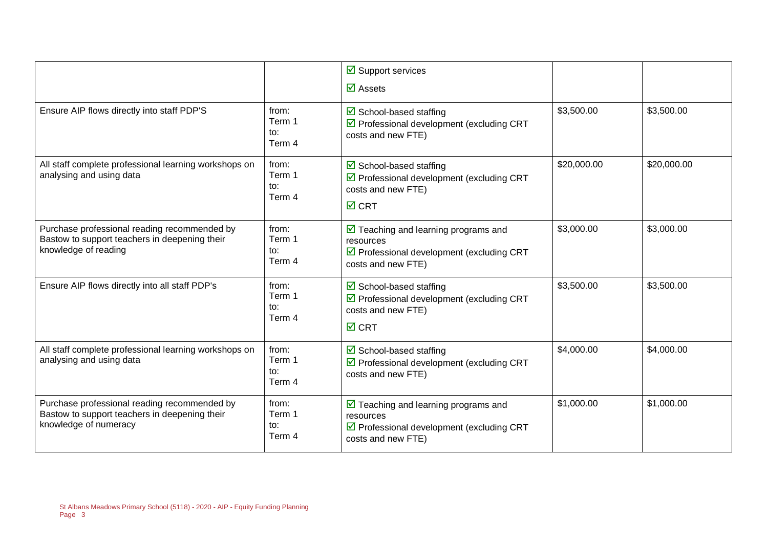|                                                                                                                        |                                             | $\overline{\mathbf{y}}$ Support services                                                                                                         |             |             |
|------------------------------------------------------------------------------------------------------------------------|---------------------------------------------|--------------------------------------------------------------------------------------------------------------------------------------------------|-------------|-------------|
|                                                                                                                        |                                             | $\overline{\mathbf{M}}$ Assets                                                                                                                   |             |             |
| Ensure AIP flows directly into staff PDP'S                                                                             | from:<br>Term 1<br>to:<br>Term 4            | $\triangleright$ School-based staffing<br>$\triangledown$ Professional development (excluding CRT<br>costs and new FTE)                          | \$3,500.00  | \$3,500.00  |
| All staff complete professional learning workshops on<br>analysing and using data                                      | from:<br>Term 1<br>to:<br>Term 4            | $\boxtimes$ School-based staffing<br>☑ Professional development (excluding CRT<br>costs and new FTE)<br>$\overline{M}$ CRT                       | \$20,000.00 | \$20,000.00 |
| Purchase professional reading recommended by<br>Bastow to support teachers in deepening their<br>knowledge of reading  | from:<br>Term 1<br>to:<br>Term 4            | $\triangleright$ Teaching and learning programs and<br>resources<br>☑ Professional development (excluding CRT<br>costs and new FTE)              | \$3,000.00  | \$3,000.00  |
| Ensure AIP flows directly into all staff PDP's                                                                         | from:<br>Term 1<br>to:<br>Term 4            | $\triangleright$ School-based staffing<br>☑ Professional development (excluding CRT<br>costs and new FTE)<br>$\overline{M}$ CRT                  | \$3,500.00  | \$3,500.00  |
| All staff complete professional learning workshops on<br>analysing and using data                                      | from:<br>Term 1<br>$\mathsf{to}:$<br>Term 4 | $\triangleright$ School-based staffing<br>☑ Professional development (excluding CRT<br>costs and new FTE)                                        | \$4,000.00  | \$4,000.00  |
| Purchase professional reading recommended by<br>Bastow to support teachers in deepening their<br>knowledge of numeracy | from:<br>Term 1<br>to:<br>Term 4            | $\triangledown$ Teaching and learning programs and<br>resources<br>$\triangledown$ Professional development (excluding CRT<br>costs and new FTE) | \$1,000.00  | \$1,000.00  |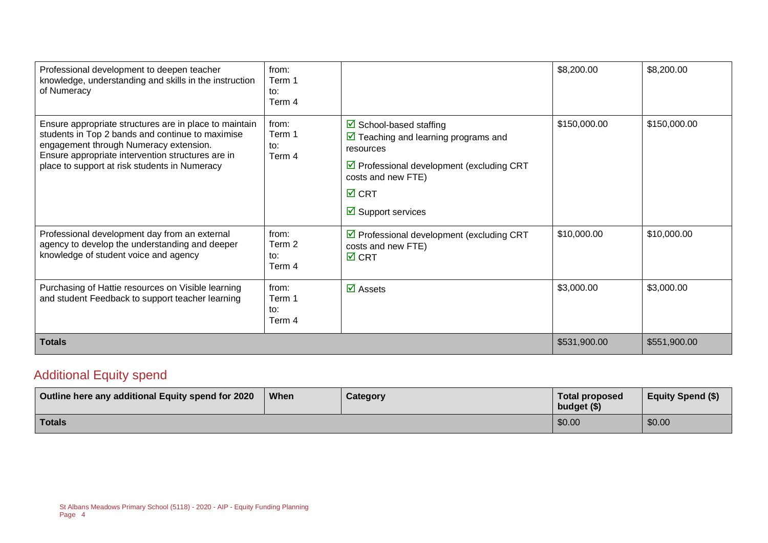| Professional development to deepen teacher<br>knowledge, understanding and skills in the instruction<br>of Numeracy                                                                                                                                        | from:<br>Term 1<br>to:<br>Term 4 |                                                                                                                                                                                                                                           | \$8,200.00   | \$8,200.00   |
|------------------------------------------------------------------------------------------------------------------------------------------------------------------------------------------------------------------------------------------------------------|----------------------------------|-------------------------------------------------------------------------------------------------------------------------------------------------------------------------------------------------------------------------------------------|--------------|--------------|
| Ensure appropriate structures are in place to maintain<br>students in Top 2 bands and continue to maximise<br>engagement through Numeracy extension.<br>Ensure appropriate intervention structures are in<br>place to support at risk students in Numeracy | from:<br>Term 1<br>to:<br>Term 4 | $\boxtimes$ School-based staffing<br>$\triangleright$ Teaching and learning programs and<br>resources<br>$\triangledown$ Professional development (excluding CRT<br>costs and new FTE)<br>$\boxtimes$ CRT<br>$\boxtimes$ Support services | \$150,000.00 | \$150,000.00 |
| Professional development day from an external<br>agency to develop the understanding and deeper<br>knowledge of student voice and agency                                                                                                                   | from:<br>Term 2<br>to:<br>Term 4 | $\triangledown$ Professional development (excluding CRT<br>costs and new FTE)<br>$\boxtimes$ CRT                                                                                                                                          | \$10,000.00  | \$10,000.00  |
| Purchasing of Hattie resources on Visible learning<br>and student Feedback to support teacher learning                                                                                                                                                     | from:<br>Term 1<br>to:<br>Term 4 | $\overline{\mathbf{M}}$ Assets                                                                                                                                                                                                            | \$3,000.00   | \$3,000.00   |
| <b>Totals</b>                                                                                                                                                                                                                                              | \$531,900.00                     | \$551,900.00                                                                                                                                                                                                                              |              |              |

#### Additional Equity spend

| Outline here any additional Equity spend for 2020 | When | Category | Total proposed<br>budget (\$) | <b>Equity Spend (\$)</b> |
|---------------------------------------------------|------|----------|-------------------------------|--------------------------|
| <b>Totals</b>                                     |      |          | \$0.00                        | \$0.00                   |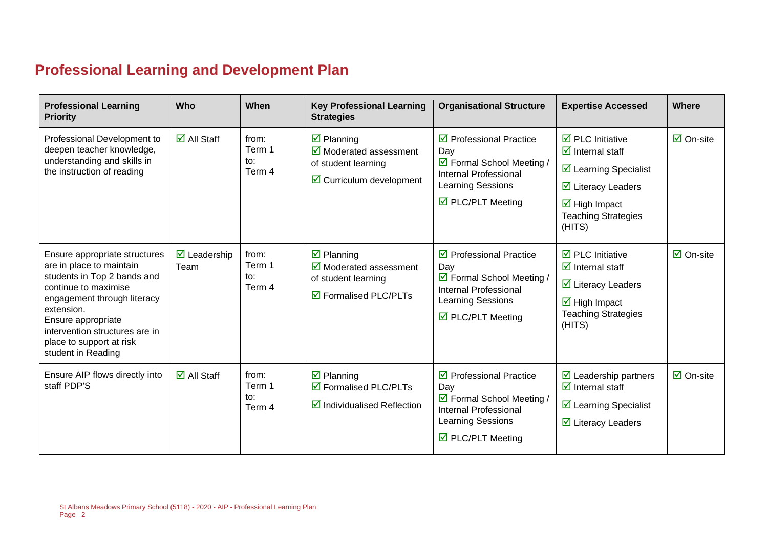### **Professional Learning and Development Plan**

| <b>Professional Learning</b><br><b>Priority</b>                                                                                                                                                                                                                         | Who                                | When                                        | <b>Key Professional Learning</b><br><b>Strategies</b>                                                                           | <b>Organisational Structure</b>                                                                                                                                   | <b>Expertise Accessed</b>                                                                                                                                                                                                           | Where                           |
|-------------------------------------------------------------------------------------------------------------------------------------------------------------------------------------------------------------------------------------------------------------------------|------------------------------------|---------------------------------------------|---------------------------------------------------------------------------------------------------------------------------------|-------------------------------------------------------------------------------------------------------------------------------------------------------------------|-------------------------------------------------------------------------------------------------------------------------------------------------------------------------------------------------------------------------------------|---------------------------------|
| Professional Development to<br>deepen teacher knowledge,<br>understanding and skills in<br>the instruction of reading                                                                                                                                                   | $\overline{\Box}$ All Staff        | from:<br>Term 1<br>to:<br>Term 4            | $\boxtimes$ Planning<br>$\overline{\mathbf{y}}$ Moderated assessment<br>of student learning<br>$\boxdot$ Curriculum development | $\triangledown$ Professional Practice<br>Day<br>☑ Formal School Meeting /<br><b>Internal Professional</b><br>Learning Sessions<br>$\triangledown$ PLC/PLT Meeting | $\overline{\mathbf{M}}$ PLC Initiative<br>$\overline{\mathbf{M}}$ Internal staff<br>☑ Learning Specialist<br>$\overline{\mathbf{y}}$ Literacy Leaders<br>$\overline{\boxtimes}$ High Impact<br><b>Teaching Strategies</b><br>(HITS) | $\overline{\mathsf{M}}$ On-site |
| Ensure appropriate structures<br>are in place to maintain<br>students in Top 2 bands and<br>continue to maximise<br>engagement through literacy<br>extension.<br>Ensure appropriate<br>intervention structures are in<br>place to support at risk<br>student in Reading | $\triangledown$ Leadership<br>Team | from:<br>Term 1<br>to:<br>Term 4            | $\boxtimes$ Planning<br>$\boxtimes$ Moderated assessment<br>of student learning<br>$\boxtimes$ Formalised PLC/PLTs              | $\triangledown$ Professional Practice<br>Day<br>☑ Formal School Meeting /<br>Internal Professional<br>Learning Sessions<br>☑ PLC/PLT Meeting                      | $\overline{\mathbf{z}}$ PLC Initiative<br>$\overline{\mathbf{z}}$ Internal staff<br>$\overline{\mathbf{y}}$ Literacy Leaders<br>$\overline{\mathbf{M}}$ High Impact<br><b>Teaching Strategies</b><br>(HITS)                         | $\boxtimes$ On-site             |
| Ensure AIP flows directly into<br>staff PDP'S                                                                                                                                                                                                                           | $\overline{\triangle}$ All Staff   | from:<br>Term 1<br>$\mathsf{to}:$<br>Term 4 | $\boxtimes$ Planning<br>☑ Formalised PLC/PLTs<br>$\boxtimes$ Individualised Reflection                                          | $\triangledown$ Professional Practice<br>Day<br>☑ Formal School Meeting /<br>Internal Professional<br>Learning Sessions<br>☑ PLC/PLT Meeting                      | $\triangleright$ Leadership partners<br>$\overline{\mathbf{M}}$ Internal staff<br>$\triangleright$ Learning Specialist<br>$\triangleright$ Literacy Leaders                                                                         | $\overline{\Box}$ On-site       |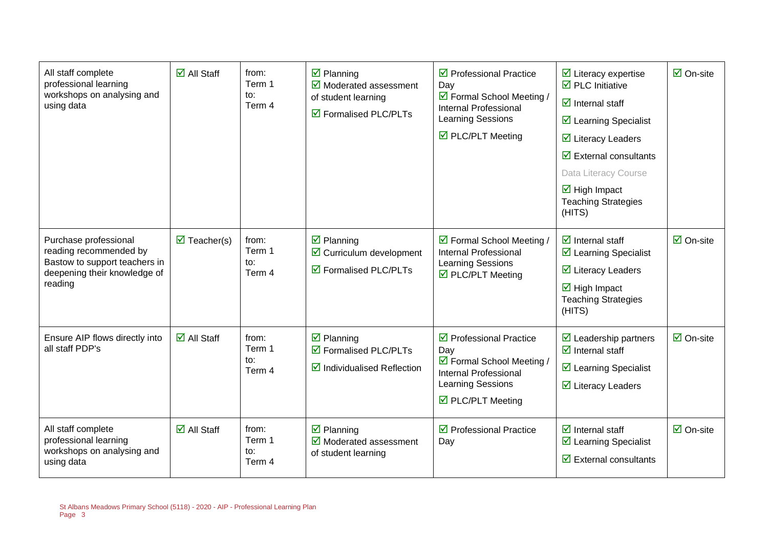| All staff complete<br>professional learning<br>workshops on analysing and<br>using data                                     | $\overline{\mathsf{M}}$ All Staff   | from:<br>Term 1<br>to:<br>Term 4 | $\overline{\mathbf{y}}$ Planning<br>$\overline{\mathbf{y}}$ Moderated assessment<br>of student learning<br>☑ Formalised PLC/PLTs | $\triangleright$ Professional Practice<br>Day<br>☑ Formal School Meeting /<br>Internal Professional<br>Learning Sessions<br>☑ PLC/PLT Meeting              | $\triangleright$ Literacy expertise<br>$\overline{\boxtimes}$ PLC Initiative<br>$\overline{\mathbf{z}}$ Internal staff<br>$\triangleright$ Learning Specialist<br>$\overline{\mathbf{y}}$ Literacy Leaders<br>$\overline{\mathbf{y}}$ External consultants<br>Data Literacy Course<br>$\overline{\mathbf{M}}$ High Impact<br><b>Teaching Strategies</b><br>(HITS) | $\overline{\mathsf{M}}$ On-site |
|-----------------------------------------------------------------------------------------------------------------------------|-------------------------------------|----------------------------------|----------------------------------------------------------------------------------------------------------------------------------|------------------------------------------------------------------------------------------------------------------------------------------------------------|-------------------------------------------------------------------------------------------------------------------------------------------------------------------------------------------------------------------------------------------------------------------------------------------------------------------------------------------------------------------|---------------------------------|
| Purchase professional<br>reading recommended by<br>Bastow to support teachers in<br>deepening their knowledge of<br>reading | $\overline{\mathbf{M}}$ Teacher(s)  | from:<br>Term 1<br>to:<br>Term 4 | $\overline{\mathbf{y}}$ Planning<br>$\triangleright$ Curriculum development<br>$\overline{\mathbf{a}}$ Formalised PLC/PLTs       | ☑ Formal School Meeting /<br><b>Internal Professional</b><br>Learning Sessions<br>$\boxtimes$ PLC/PLT Meeting                                              | $\overline{\mathbf{z}}$ Internal staff<br>$\triangleright$ Learning Specialist<br>$\overline{\mathbf{z}}$ Literacy Leaders<br>$\overline{\mathbf{M}}$ High Impact<br><b>Teaching Strategies</b><br>(HITS)                                                                                                                                                         | $\overline{\mathsf{M}}$ On-site |
| Ensure AIP flows directly into<br>all staff PDP's                                                                           | $\overline{\blacksquare}$ All Staff | from:<br>Term 1<br>to:<br>Term 4 | $\overline{\mathbf{z}}$ Planning<br>$\triangledown$ Formalised PLC/PLTs<br>$\boxtimes$ Individualised Reflection                 | $\triangledown$ Professional Practice<br>Day<br>☑ Formal School Meeting /<br>Internal Professional<br>Learning Sessions<br>$\triangledown$ PLC/PLT Meeting | $\overline{\mathbf{2}}$ Leadership partners<br>$\overline{\mathbf{z}}$ Internal staff<br>$\triangleright$ Learning Specialist<br>$\overline{\mathbf{y}}$ Literacy Leaders                                                                                                                                                                                         | $\boxtimes$ On-site             |
| All staff complete<br>professional learning<br>workshops on analysing and<br>using data                                     | $\overline{\mathsf{M}}$ All Staff   | from:<br>Term 1<br>to:<br>Term 4 | $\overline{\mathbf{z}}$ Planning<br>$\overline{\mathbf{y}}$ Moderated assessment<br>of student learning                          | $\triangledown$ Professional Practice<br>Day                                                                                                               | $\overline{\mathbf{z}}$ Internal staff<br>☑ Learning Specialist<br>$\overline{\mathbf{y}}$ External consultants                                                                                                                                                                                                                                                   | $\overline{\mathsf{M}}$ On-site |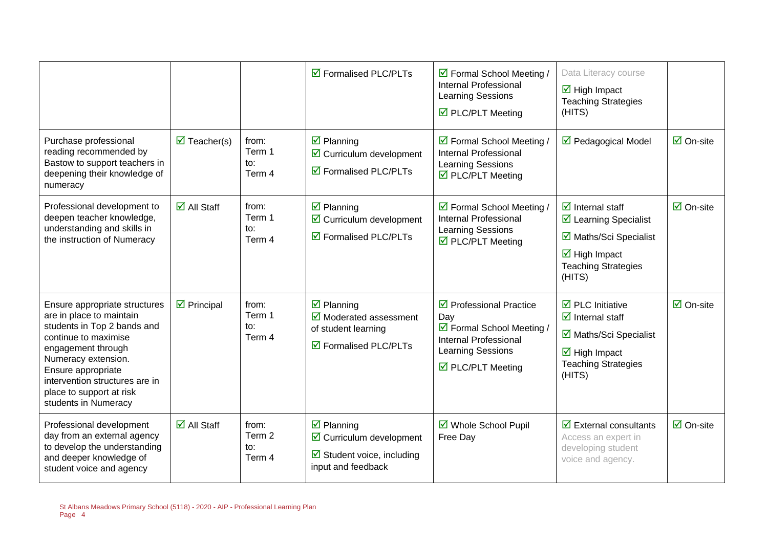|                                                                                                                                                                                                                                                                           |                                    |                                  | ☑ Formalised PLC/PLTs                                                                                                                | ☑ Formal School Meeting /<br><b>Internal Professional</b><br>Learning Sessions<br>$\triangledown$ PLC/PLT Meeting                                          | Data Literacy course<br>$\overline{\boxtimes}$ High Impact<br><b>Teaching Strategies</b><br>(HITS)                                                                                       |                                 |
|---------------------------------------------------------------------------------------------------------------------------------------------------------------------------------------------------------------------------------------------------------------------------|------------------------------------|----------------------------------|--------------------------------------------------------------------------------------------------------------------------------------|------------------------------------------------------------------------------------------------------------------------------------------------------------|------------------------------------------------------------------------------------------------------------------------------------------------------------------------------------------|---------------------------------|
| Purchase professional<br>reading recommended by<br>Bastow to support teachers in<br>deepening their knowledge of<br>numeracy                                                                                                                                              | $\overline{\mathbf{M}}$ Teacher(s) | from:<br>Term 1<br>to:<br>Term 4 | $\overline{\mathbf{y}}$ Planning<br>$\triangleright$ Curriculum development<br>$\overline{\mathbf{9}}$ Formalised PLC/PLTs           | ☑ Formal School Meeting /<br><b>Internal Professional</b><br>Learning Sessions<br>$\overline{\boxtimes}$ PLC/PLT Meeting                                   | ☑ Pedagogical Model                                                                                                                                                                      | $\overline{\mathsf{M}}$ On-site |
| Professional development to<br>deepen teacher knowledge,<br>understanding and skills in<br>the instruction of Numeracy                                                                                                                                                    | $\overline{\mathsf{M}}$ All Staff  | from:<br>Term 1<br>to:<br>Term 4 | $\boxtimes$ Planning<br>$\boxtimes$ Curriculum development<br>☑ Formalised PLC/PLTs                                                  | ☑ Formal School Meeting /<br>Internal Professional<br>Learning Sessions<br>☑ PLC/PLT Meeting                                                               | $\overline{\mathbf{y}}$ Internal staff<br>$\triangleright$ Learning Specialist<br>☑ Maths/Sci Specialist<br>$\overline{\mathbf{M}}$ High Impact<br><b>Teaching Strategies</b><br>(HITS)  | $\overline{\Box}$ On-site       |
| Ensure appropriate structures<br>are in place to maintain<br>students in Top 2 bands and<br>continue to maximise<br>engagement through<br>Numeracy extension.<br>Ensure appropriate<br>intervention structures are in<br>place to support at risk<br>students in Numeracy | $\triangleright$ Principal         | from:<br>Term 1<br>to:<br>Term 4 | $\boxtimes$ Planning<br>$\overline{\mathbf{y}}$ Moderated assessment<br>of student learning<br>☑ Formalised PLC/PLTs                 | $\triangledown$ Professional Practice<br>Day<br>☑ Formal School Meeting /<br>Internal Professional<br>Learning Sessions<br>$\triangledown$ PLC/PLT Meeting | $\overline{\boxtimes}$ PLC Initiative<br>$\overline{\mathbf{z}}$ Internal staff<br>☑ Maths/Sci Specialist<br>$\overline{\mathbf{M}}$ High Impact<br><b>Teaching Strategies</b><br>(HITS) | $\overline{\Box}$ On-site       |
| Professional development<br>day from an external agency<br>to develop the understanding<br>and deeper knowledge of<br>student voice and agency                                                                                                                            | $\overline{\mathsf{M}}$ All Staff  | from:<br>Term 2<br>to:<br>Term 4 | $\overline{\mathbf{z}}$ Planning<br>$\boxtimes$ Curriculum development<br>$\boxtimes$ Student voice, including<br>input and feedback | ☑ Whole School Pupil<br>Free Day                                                                                                                           | $\overline{\mathbf{z}}$ External consultants<br>Access an expert in<br>developing student<br>voice and agency.                                                                           | $\overline{\mathsf{M}}$ On-site |